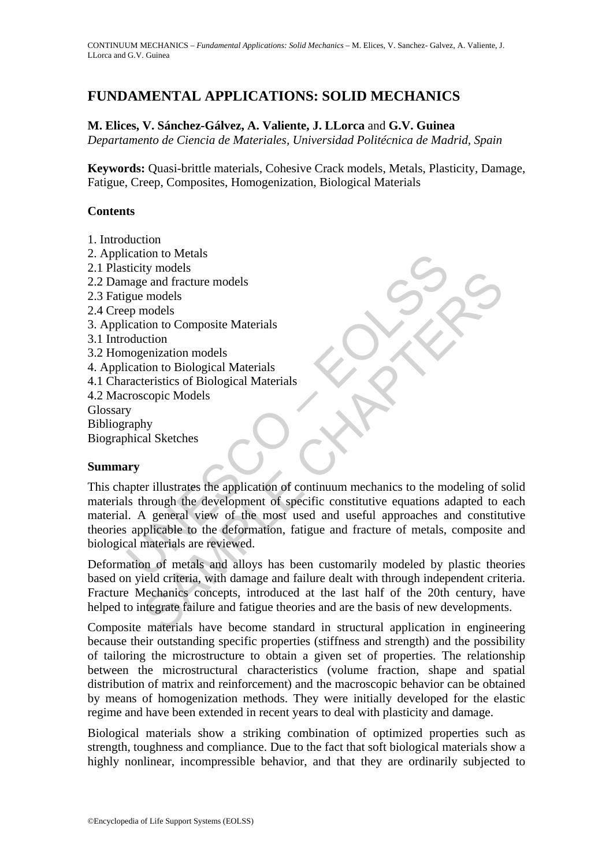# **FUNDAMENTAL APPLICATIONS: SOLID MECHANICS**

#### **M. Elices, V. Sánchez-Gálvez, A. Valiente, J. LLorca** and **G.V. Guinea**

*Departamento de Ciencia de Materiales, Universidad Politécnica de Madrid, Spain* 

**Keywords:** Quasi-brittle materials, Cohesive Crack models, Metals, Plasticity, Damage, Fatigue, Creep, Composites, Homogenization, Biological Materials

#### **Contents**

- 1. Introduction
- 2. Application to Metals
- 2.1 Plasticity models
- 2.2 Damage and fracture models
- 2.3 Fatigue models
- 2.4 Creep models
- 3. Application to Composite Materials
- 3.1 Introduction
- 3.2 Homogenization models
- 4. Application to Biological Materials
- 4.1 Characteristics of Biological Materials
- 4.2 Macroscopic Models
- **Glossary**
- Bibliography

Biographical Sketches

#### **Summary**

Exittity models<br>
italianty models<br>
mage and fracture models<br>
gue models<br>
ep models<br>
ep models<br>
ep models<br>
ep models<br>
ep models<br>
ep models<br>
ep models<br>
externation models<br>
ication to Biological Materials<br>
racteristics of Bio be and fracture models<br>
e and fracture models<br>
involus composite Materials<br>
cition<br>
to Composite Materials<br>
cition<br>
cenization models<br>
exercistics of Biological Materials<br>
coopic Models<br>
scopic Models<br>
py<br>
by<br>
y<br>
ty<br>
or al This chapter illustrates the application of continuum mechanics to the modeling of solid materials through the development of specific constitutive equations adapted to each material. A general view of the most used and useful approaches and constitutive theories applicable to the deformation, fatigue and fracture of metals, composite and biological materials are reviewed.

Deformation of metals and alloys has been customarily modeled by plastic theories based on yield criteria, with damage and failure dealt with through independent criteria. Fracture Mechanics concepts, introduced at the last half of the 20th century, have helped to integrate failure and fatigue theories and are the basis of new developments.

Composite materials have become standard in structural application in engineering because their outstanding specific properties (stiffness and strength) and the possibility of tailoring the microstructure to obtain a given set of properties. The relationship between the microstructural characteristics (volume fraction, shape and spatial distribution of matrix and reinforcement) and the macroscopic behavior can be obtained by means of homogenization methods. They were initially developed for the elastic regime and have been extended in recent years to deal with plasticity and damage.

Biological materials show a striking combination of optimized properties such as strength, toughness and compliance. Due to the fact that soft biological materials show a highly nonlinear, incompressible behavior, and that they are ordinarily subjected to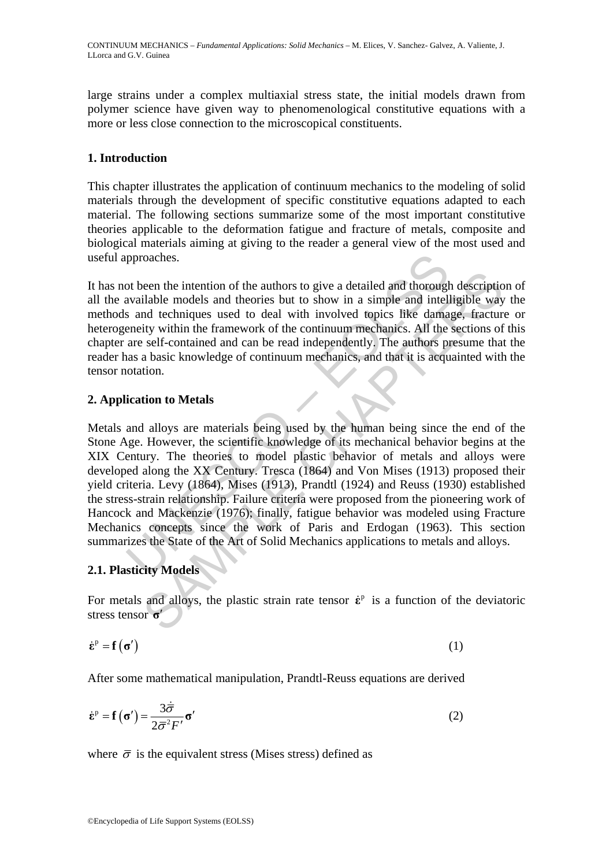large strains under a complex multiaxial stress state, the initial models drawn from polymer science have given way to phenomenological constitutive equations with a more or less close connection to the microscopical constituents.

### **1. Introduction**

This chapter illustrates the application of continuum mechanics to the modeling of solid materials through the development of specific constitutive equations adapted to each material. The following sections summarize some of the most important constitutive theories applicable to the deformation fatigue and fracture of metals, composite and biological materials aiming at giving to the reader a general view of the most used and useful approaches.

It has not been the intention of the authors to give a detailed and thorough description of all the available models and theories but to show in a simple and intelligible way the methods and techniques used to deal with involved topics like damage, fracture or heterogeneity within the framework of the continuum mechanics. All the sections of this chapter are self-contained and can be read independently. The authors presume that the reader has a basic knowledge of continuum mechanics, and that it is acquainted with the tensor notation.

### **2. Application to Metals**

proaches.<br>
or been the intention of the authors to give a detailed and thorough<br>
available models and theories but to show in a simple and intell<br>
s and techniques used to deal with involved topics like dama<br>
eneity within been the intention of the authors to give a detailed and thorough description<br>liable models and theories but to show in a simple and intelligible way<br>of the demiques used to deal with involved topics like damage, fracture Metals and alloys are materials being used by the human being since the end of the Stone Age. However, the scientific knowledge of its mechanical behavior begins at the XIX Century. The theories to model plastic behavior of metals and alloys were developed along the XX Century. Tresca (1864) and Von Mises (1913) proposed their yield criteria. Levy (1864), Mises (1913), Prandtl (1924) and Reuss (1930) established the stress-strain relationship. Failure criteria were proposed from the pioneering work of Hancock and Mackenzie (1976); finally, fatigue behavior was modeled using Fracture Mechanics concepts since the work of Paris and Erdogan (1963). This section summarizes the State of the Art of Solid Mechanics applications to metals and alloys.

### **2.1. Plasticity Models**

For metals and alloys, the plastic strain rate tensor  $\dot{\epsilon}^p$  is a function of the deviatoric stress tensor **σ**′

$$
\dot{\boldsymbol{\varepsilon}}^{\mathrm{p}} = \mathbf{f}\left(\boldsymbol{\sigma}'\right) \tag{1}
$$

After some mathematical manipulation, Prandtl-Reuss equations are derived

$$
\dot{\mathbf{\varepsilon}}^{\mathrm{p}} = \mathbf{f}\left(\mathbf{\sigma}'\right) = \frac{3\dot{\overline{\sigma}}}{2\overline{\sigma}^2 F'}\mathbf{\sigma}'\tag{2}
$$

where  $\bar{\sigma}$  is the equivalent stress (Mises stress) defined as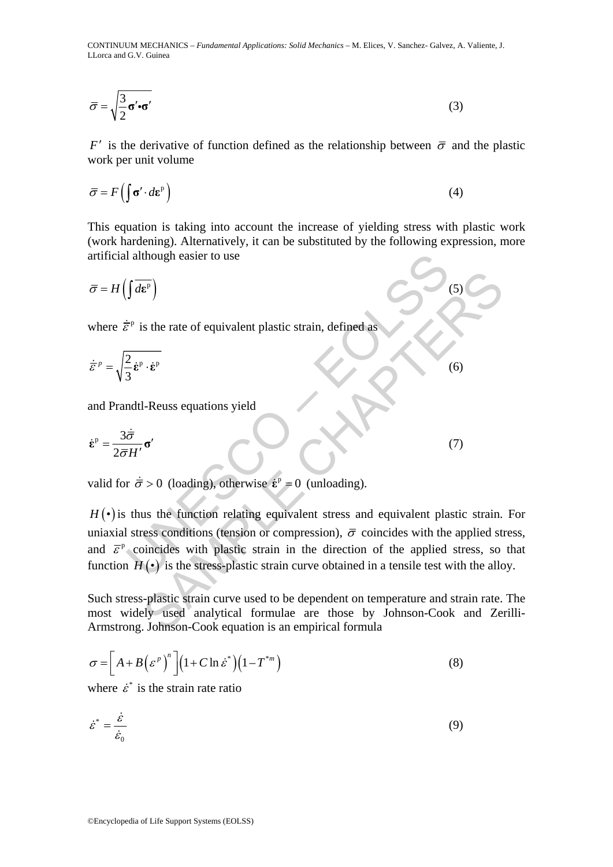CONTINUUM MECHANICS – *Fundamental Applications: Solid Mechanics* – M. Elices, V. Sanchez- Galvez, A. Valiente, J. LLorca and G.V. Guinea

$$
\overline{\sigma} = \sqrt{\frac{3}{2} \sigma' \cdot \sigma'}
$$
 (3)

*F'* is the derivative of function defined as the relationship between  $\bar{\sigma}$  and the plastic work per unit volume

$$
\overline{\sigma} = F\left(\int \sigma' \cdot d\mathbf{\varepsilon}^{\mathrm{p}}\right) \tag{4}
$$

This equation is taking into account the increase of yielding stress with plastic work (work hardening). Alternatively, it can be substituted by the following expression, more artificial although easier to use

$$
\bar{\sigma} = H\left(\int d\mathbf{\varepsilon}^{\mathrm{p}}\right) \tag{5}
$$

where  $\dot{\vec{\varepsilon}}^p$  is the rate of equivalent plastic strain, defined as

$$
\dot{\bar{\varepsilon}}^p = \sqrt{\frac{2}{3} \dot{\varepsilon}^p \cdot \dot{\varepsilon}^p}
$$
 (6)

and Prandtl-Reuss equations yield

$$
\dot{\mathbf{\varepsilon}}^{\mathrm{p}} = \frac{3\dot{\overline{\sigma}}}{2\overline{\sigma}H'}\mathbf{\sigma}'
$$
 (7)

valid for  $\dot{\bar{\sigma}} > 0$  (loading), otherwise  $\dot{\epsilon}^p = 0$  (unloading).

although easier to use<br>  $\int d\vec{r}$ <br>  $\vec{r}^p$  is the rate of equivalent plastic strain, defined as<br>  $\frac{2}{3} \dot{\epsilon}^p \cdot \dot{\epsilon}^p$ <br>
andtl-Reuss equations yield<br>  $\frac{\dot{\vec{\sigma}}}{\vec{r}H'} \sigma'$ <br>  $\vec{r} \vec{\sigma} > 0$  (loading), otherwise  $\hat{\$ (5)<br>
See the rate of equivalent plastic strain, defined as<br>  $\vec{r} \cdot \vec{e}^p$ <br>
1-Reuss equations yield<br>
(6)<br>
1-Reuss equations yield<br>
(7)<br>  $\vec{r} > 0$  (loading), otherwise  $\vec{e}^p = 0$  (unloading).<br>
us the function relating  $H(\cdot)$  is thus the function relating equivalent stress and equivalent plastic strain. For uniaxial stress conditions (tension or compression),  $\bar{\sigma}$  coincides with the applied stress, and  $\bar{\varepsilon}^{\rm p}$  coincides with plastic strain in the direction of the applied stress, so that function  $H(\cdot)$  is the stress-plastic strain curve obtained in a tensile test with the alloy.

Such stress-plastic strain curve used to be dependent on temperature and strain rate. The most widely used analytical formulae are those by Johnson-Cook and Zerilli-Armstrong. Johnson-Cook equation is an empirical formula

$$
\sigma = \left[ A + B \left( \varepsilon^p \right)^n \right] \left( 1 + C \ln \dot{\varepsilon}^* \right) \left( 1 - T^{*m} \right) \tag{8}
$$

where  $\dot{\varepsilon}^*$  is the strain rate ratio

$$
\dot{\varepsilon}^* = \frac{\dot{\varepsilon}}{\dot{\varepsilon}_0} \tag{9}
$$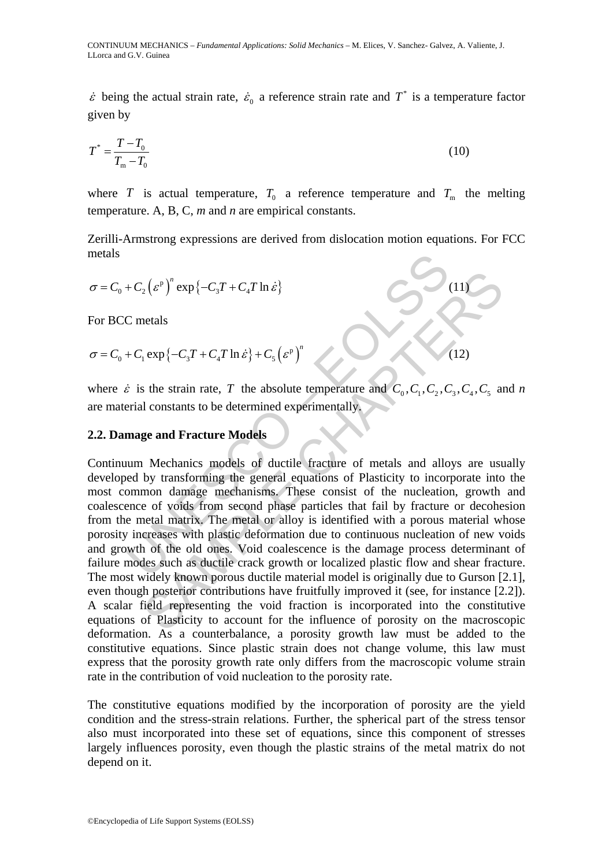$\dot{\varepsilon}$  being the actual strain rate,  $\dot{\varepsilon}_0$  a reference strain rate and  $T^*$  is a temperature factor given by

$$
T^* = \frac{T - T_0}{T_m - T_0} \tag{10}
$$

where *T* is actual temperature,  $T_0$  a reference temperature and  $T_m$  the melting temperature. A, B, C, *m* and *n* are empirical constants.

Zerilli-Armstrong expressions are derived from dislocation motion equations. For FCC metals

$$
\sigma = C_0 + C_2 \left( \varepsilon^p \right)^n \exp \left\{ -C_3 T + C_4 T \ln \dot{\varepsilon} \right\}
$$
 (11)

For BCC metals

$$
\sigma = C_0 + C_1 \exp\{-C_3 T + C_4 T \ln \dot{\varepsilon}\} + C_5 \left(\varepsilon^p\right)^n \tag{12}
$$

where  $\dot{\varepsilon}$  is the strain rate, *T* the absolute temperature and  $C_0, C_1, C_2, C_3, C_4, C_5$  and *n* are material constants to be determined experimentally.

#### **2.2. Damage and Fracture Models**

+  $C_2(\varepsilon^p)^n \exp\{-C_3T + C_4T \ln \varepsilon\}$ <br>
C metals<br>  $+ C_1 \exp\{-C_3T + C_4T \ln \varepsilon\} + C_5(\varepsilon^p)^n$ <br>  $\varepsilon$  is the strain rate, T the absolute temperature and  $C_0, C_1, C_2, C_3$ <br>
erial constants to be determined experimentally.<br> **mage**  $\int_{c_2}^{\infty} (e^v)^n \exp \{-C_3T + C_4T \ln \dot{\varepsilon}\} + C_5 (e^v)^n$ <br>
aretals<br>
aretals<br>
aretals<br>
in experimentally.<br>
See and Fracture Models<br>
Mechanics models of ductile fracture of metals and alloys are used<br>
Mechanics models of ductil Continuum Mechanics models of ductile fracture of metals and alloys are usually developed by transforming the general equations of Plasticity to incorporate into the most common damage mechanisms. These consist of the nucleation, growth and coalescence of voids from second phase particles that fail by fracture or decohesion from the metal matrix. The metal or alloy is identified with a porous material whose porosity increases with plastic deformation due to continuous nucleation of new voids and growth of the old ones. Void coalescence is the damage process determinant of failure modes such as ductile crack growth or localized plastic flow and shear fracture. The most widely known porous ductile material model is originally due to Gurson [2.1], even though posterior contributions have fruitfully improved it (see, for instance [2.2]). A scalar field representing the void fraction is incorporated into the constitutive equations of Plasticity to account for the influence of porosity on the macroscopic deformation. As a counterbalance, a porosity growth law must be added to the constitutive equations. Since plastic strain does not change volume, this law must express that the porosity growth rate only differs from the macroscopic volume strain rate in the contribution of void nucleation to the porosity rate.

The constitutive equations modified by the incorporation of porosity are the yield condition and the stress-strain relations. Further, the spherical part of the stress tensor also must incorporated into these set of equations, since this component of stresses largely influences porosity, even though the plastic strains of the metal matrix do not depend on it.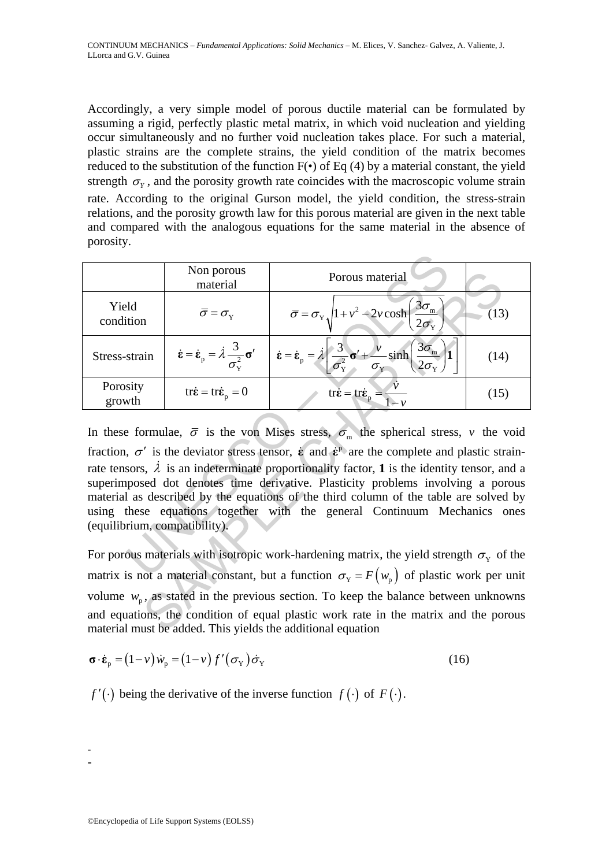Accordingly, a very simple model of porous ductile material can be formulated by assuming a rigid, perfectly plastic metal matrix, in which void nucleation and yielding occur simultaneously and no further void nucleation takes place. For such a material, plastic strains are the complete strains, the yield condition of the matrix becomes reduced to the substitution of the function  $F(\cdot)$  of Eq (4) by a material constant, the yield strength  $\sigma_y$ , and the porosity growth rate coincides with the macroscopic volume strain rate. According to the original Gurson model, the yield condition, the stress-strain relations, and the porosity growth law for this porous material are given in the next table and compared with the analogous equations for the same material in the absence of porosity.

|                                                                                                                                                                                                                                                                                                                                                                                                                                                                                                                                                                                                                                                  | Non porous<br>material                                                                                                                          | Porous material                                                                                                                                                                                                               |      |
|--------------------------------------------------------------------------------------------------------------------------------------------------------------------------------------------------------------------------------------------------------------------------------------------------------------------------------------------------------------------------------------------------------------------------------------------------------------------------------------------------------------------------------------------------------------------------------------------------------------------------------------------------|-------------------------------------------------------------------------------------------------------------------------------------------------|-------------------------------------------------------------------------------------------------------------------------------------------------------------------------------------------------------------------------------|------|
| Yield<br>condition                                                                                                                                                                                                                                                                                                                                                                                                                                                                                                                                                                                                                               | $\overline{\sigma} = \sigma_{\rm v}$                                                                                                            | $\overline{\sigma} = \sigma_{\rm Y} \sqrt{1 + v^2 - 2\nu \cosh\left(\frac{3\sigma_{\rm m}}{2\sigma_{\rm v}}\right)}$                                                                                                          | (13) |
| Stress-strain                                                                                                                                                                                                                                                                                                                                                                                                                                                                                                                                                                                                                                    | $\dot{\boldsymbol{\varepsilon}} = \dot{\boldsymbol{\varepsilon}}_{\text{p}} = \dot{\lambda} \frac{3}{\sigma_{\text{v}}^2} \boldsymbol{\sigma}'$ | $\dot{\varepsilon} = \dot{\varepsilon}_{\text{p}} = \lambda \left[ \frac{3}{\sigma_{\text{Y}}^2} \sigma' + \frac{v}{\sigma_{\text{Y}}} \sinh \left( \frac{3\sigma_{\text{m}}}{2\sigma_{\text{Y}}} \right) \mathbf{1} \right]$ | (14) |
| Porosity<br>growth                                                                                                                                                                                                                                                                                                                                                                                                                                                                                                                                                                                                                               | $tr\dot{\mathbf{\varepsilon}} = tr\dot{\mathbf{\varepsilon}}_{p} = 0$                                                                           | tr $\dot{\boldsymbol{\varepsilon}} = \text{tr}\dot{\boldsymbol{\varepsilon}}_{\text{p}} = \frac{\dot{\boldsymbol{\nu}}}{1-\nu}$                                                                                               | (15) |
| In these formulae, $\bar{\sigma}$ is the von Mises stress, $\sigma_m$ the spherical stress, v the void<br>fraction, $\sigma'$ is the deviator stress tensor, $\dot{\epsilon}$ and $\dot{\epsilon}^{\rm p}$ are the complete and plastic strain-<br>rate tensors, $\lambda$ is an indeterminate proportionality factor, 1 is the identity tensor, and a<br>superimposed dot denotes time derivative. Plasticity problems involving a porous<br>material as described by the equations of the third column of the table are solved by<br>using these equations together with the general Continuum Mechanics ones<br>(equilibrium, compatibility). |                                                                                                                                                 |                                                                                                                                                                                                                               |      |
| For porous materials with isotropic work-hardening matrix, the yield strength $\sigma_{y}$ of the                                                                                                                                                                                                                                                                                                                                                                                                                                                                                                                                                |                                                                                                                                                 |                                                                                                                                                                                                                               |      |
| matrix is not a material constant, but a function $\sigma_Y = F(w_p)$ of plastic work per unit                                                                                                                                                                                                                                                                                                                                                                                                                                                                                                                                                   |                                                                                                                                                 |                                                                                                                                                                                                                               |      |
| volume $w_p$ , as stated in the previous section. To keep the balance between unknowns                                                                                                                                                                                                                                                                                                                                                                                                                                                                                                                                                           |                                                                                                                                                 |                                                                                                                                                                                                                               |      |
| and equations, the condition of equal plastic work rate in the matrix and the porous<br>material must be added. This yields the additional equation                                                                                                                                                                                                                                                                                                                                                                                                                                                                                              |                                                                                                                                                 |                                                                                                                                                                                                                               |      |

$$
\boldsymbol{\sigma} \cdot \boldsymbol{\dot{\varepsilon}}_{\rm p} = (1 - \nu) \dot{w}_{\rm p} = (1 - \nu) f'(\sigma_{\rm Y}) \dot{\sigma}_{\rm Y}
$$
 (16)

*f* ′(⋅) being the derivative of the inverse function  $f(·)$  of  $F(·)$ .

- -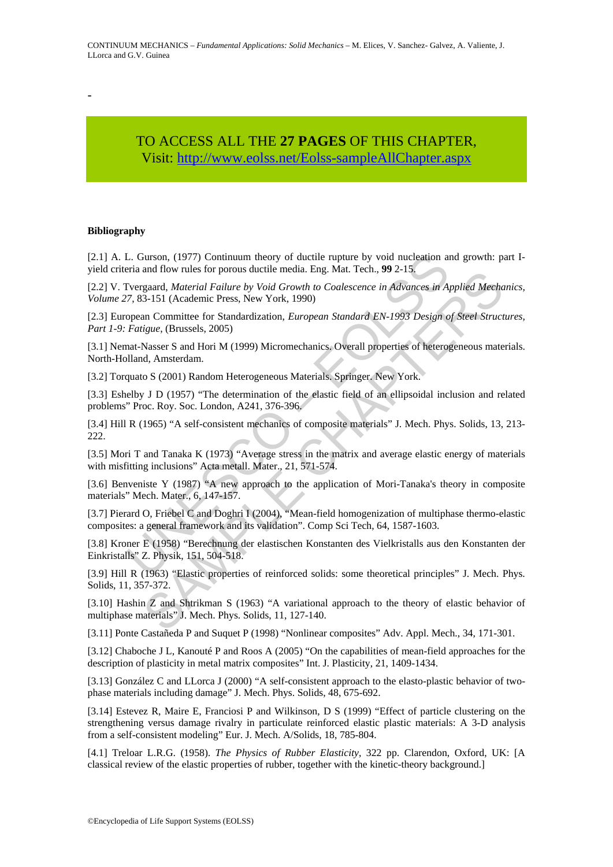-

## TO ACCESS ALL THE **27 PAGES** OF THIS CHAPTER, Visit: [http://www.eolss.net/Eolss-sampleAllChapter.aspx](https://www.eolss.net/ebooklib/sc_cart.aspx?File=E6-161-13-00)

#### **Bibliography**

L. Gurson, (1977) Continuum theory of ductile rupture by void nucleation an<br>
eria and flow rules for porous ductile media. Eng. Mat. Tech., 99 2-15.<br>
Fvergarad, *Material Failure by Void Growth to Coalescence in Advances* [2.1] A. L. Gurson, (1977) Continuum theory of ductile rupture by void nucleation and growth: part Iyield criteria and flow rules for porous ductile media. Eng. Mat. Tech., **99** 2-15.

and, *Material Finline by Void Growth to Coalescence in Advances in Applied Mecha 3-151 (Academic Press, New York, 1990)<br>
3-151 (Academic Press, New York, 1990)<br>
an Committee for Standardization, <i>European Standard EN-1993* [2.2] V. Tvergaard, *Material Failure by Void Growth to Coalescence in Advances in Applied Mechanics*, *Volume 27*, 83-151 (Academic Press, New York, 1990)

[2.3] European Committee for Standardization, *European Standard EN-1993 Design of Steel Structures, Part 1-9: Fatigue*, (Brussels, 2005)

[3.1] Nemat-Nasser S and Hori M (1999) Micromechanics. Overall properties of heterogeneous materials. North-Holland, Amsterdam.

[3.2] Torquato S (2001) Random Heterogeneous Materials. Springer. New York.

[3.3] Eshelby J D (1957) "The determination of the elastic field of an ellipsoidal inclusion and related problems" Proc. Roy. Soc. London, A241, 376-396.

[3.4] Hill R (1965) "A self-consistent mechanics of composite materials" J. Mech. Phys. Solids, 13, 213- 222.

[3.5] Mori T and Tanaka K (1973) "Average stress in the matrix and average elastic energy of materials with misfitting inclusions" Acta metall. Mater., 21, 571-574.

[3.6] Benveniste Y (1987) "A new approach to the application of Mori-Tanaka's theory in composite materials" Mech. Mater., 6, 147-157.

[3.7] Pierard O, Friebel C and Doghri I (2004), "Mean-field homogenization of multiphase thermo-elastic composites: a general framework and its validation". Comp Sci Tech, 64, 1587-1603.

[3.8] Kroner E (1958) "Berechnung der elastischen Konstanten des Vielkristalls aus den Konstanten der Einkristalls" Z. Physik, 151, 504-518.

[3.9] Hill R (1963) "Elastic properties of reinforced solids: some theoretical principles" J. Mech. Phys. Solids, 11, 357-372.

[3.10] Hashin Z and Shtrikman S (1963) "A variational approach to the theory of elastic behavior of multiphase materials" J. Mech. Phys. Solids, 11, 127-140.

[3.11] Ponte Castañeda P and Suquet P (1998) "Nonlinear composites" Adv. Appl. Mech., 34, 171-301.

[3.12] Chaboche J L, Kanouté P and Roos A (2005) "On the capabilities of mean-field approaches for the description of plasticity in metal matrix composites" Int. J. Plasticity, 21, 1409-1434.

[3.13] González C and LLorca J (2000) "A self-consistent approach to the elasto-plastic behavior of twophase materials including damage" J. Mech. Phys. Solids, 48, 675-692.

[3.14] Estevez R, Maire E, Franciosi P and Wilkinson, D S (1999) "Effect of particle clustering on the strengthening versus damage rivalry in particulate reinforced elastic plastic materials: A 3-D analysis from a self-consistent modeling" Eur. J. Mech. A/Solids, 18, 785-804.

[4.1] Treloar L.R.G. (1958). *The Physics of Rubber Elasticity,* 322 pp. Clarendon, Oxford, UK: [A classical review of the elastic properties of rubber, together with the kinetic-theory background.]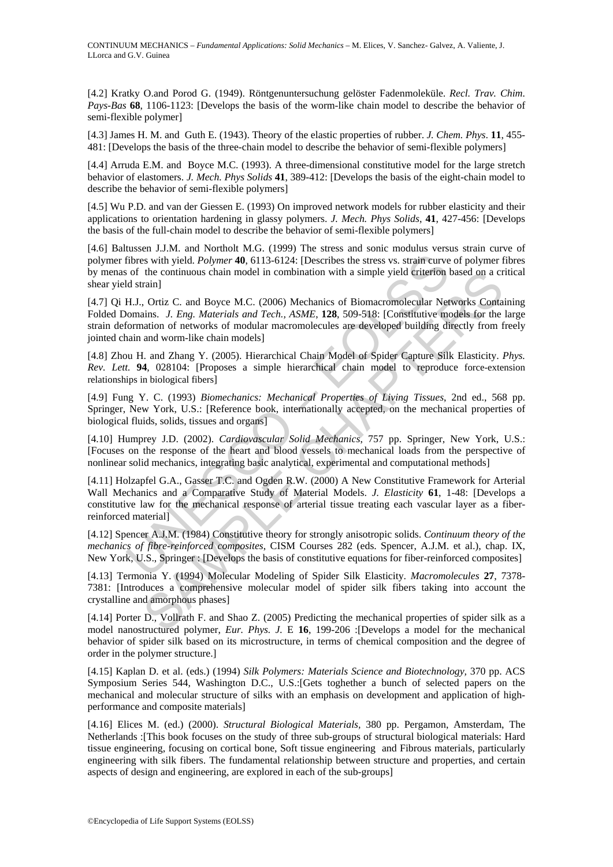[4.2] Kratky O.and Porod G. (1949). Röntgenuntersuchung gelöster Fadenmoleküle. *Recl. Trav. Chim. Pays-Bas* **68**, 1106-1123: [Develops the basis of the worm-like chain model to describe the behavior of semi-flexible polymer]

[4.3] James H. M. and Guth E. (1943). Theory of the elastic properties of rubber. *J. Chem. Phys*. **11**, 455- 481: [Develops the basis of the three-chain model to describe the behavior of semi-flexible polymers]

[4.4] Arruda E.M. and Boyce M.C. (1993). A three-dimensional constitutive model for the large stretch behavior of elastomers. *J. Mech. Phys Solids* **41**, 389-412: [Develops the basis of the eight-chain model to describe the behavior of semi-flexible polymers]

[4.5] Wu P.D. and van der Giessen E. (1993) On improved network models for rubber elasticity and their applications to orientation hardening in glassy polymers. *J. Mech. Phys Solids*, **41**, 427-456: [Develops the basis of the full-chain model to describe the behavior of semi-flexible polymers]

[4.6] Baltussen J.J.M. and Northolt M.G. (1999) The stress and sonic modulus versus strain curve of polymer fibres with yield. *Polymer* **40**, 6113-6124: [Describes the stress vs. strain curve of polymer fibres by menas of the continuous chain model in combination with a simple yield criterion based on a critical shear yield strain]

[4.7] Qi H.J., Ortiz C. and Boyce M.C. (2006) Mechanics of Biomacromolecular Networks Containing Folded Domains. *J. Eng. Materials and Tech., ASME*, **128**, 509-518: [Constitutive models for the large strain deformation of networks of modular macromolecules are developed building directly from freely jointed chain and worm-like chain models]

[4.8] Zhou H. and Zhang Y. (2005). Hierarchical Chain Model of Spider Capture Silk Elasticity. *Phys. Rev. Lett.* **94**, 028104: [Proposes a simple hierarchical chain model to reproduce force-extension relationships in biological fibers]

[4.9] Fung Y. C. (1993) *Biomechanics: Mechanical Properties of Living Tissues*, 2nd ed., 568 pp. Springer, New York, U.S.: [Reference book, internationally accepted, on the mechanical properties of biological fluids, solids, tissues and organs]

[4.10] Humprey J.D. (2002). *Cardiovascular Solid Mechanics*, 757 pp. Springer, New York, U.S.: [Focuses on the response of the heart and blood vessels to mechanical loads from the perspective of nonlinear solid mechanics, integrating basic analytical, experimental and computational methods]

fibres with yield. *Polymer* **40.** 6113-6124: [Describes the stress vs. strain eurves of the continuous chain model in combination with a simple yield criterion of the continuous chain model in combination with a simple yi the continuous chain model in combination with a simple yield criterion based on a cr<br>
the continuous chain model in combination with a simple yield criterion based on a cr<br>
raini J. Uriz C. and Boyce M.C. (2006) Mechanic [4.11] Holzapfel G.A., Gasser T.C. and Ogden R.W. (2000) A New Constitutive Framework for Arterial Wall Mechanics and a Comparative Study of Material Models. *J. Elasticity* **61**, 1-48: [Develops a constitutive law for the mechanical response of arterial tissue treating each vascular layer as a fiberreinforced material]

[4.12] Spencer A.J.M. (1984) Constitutive theory for strongly anisotropic solids. *Continuum theory of the mechanics of fibre-reinforced composites*, CISM Courses 282 (eds. Spencer, A.J.M. et al.), chap. IX, New York, U.S., Springer : [Develops the basis of constitutive equations for fiber-reinforced composites]

[4.13] Termonia Y. (1994) Molecular Modeling of Spider Silk Elasticity. *Macromolecules* **27**, 7378- 7381: [Introduces a comprehensive molecular model of spider silk fibers taking into account the crystalline and amorphous phases]

[4.14] Porter D., Vollrath F. and Shao Z. (2005) Predicting the mechanical properties of spider silk as a model nanostructured polymer, *Eur. Phys. J.* E **16**, 199-206 :[Develops a model for the mechanical behavior of spider silk based on its microstructure, in terms of chemical composition and the degree of order in the polymer structure.]

[4.15] Kaplan D. et al. (eds.) (1994) *Silk Polymers: Materials Science and Biotechnology,* 370 pp. ACS Symposium Series 544, Washington D.C., U.S.:[Gets toghether a bunch of selected papers on the mechanical and molecular structure of silks with an emphasis on development and application of highperformance and composite materials]

[4.16] Elices M. (ed.) (2000). *Structural Biological Materials,* 380 pp. Pergamon, Amsterdam, The Netherlands :[This book focuses on the study of three sub-groups of structural biological materials: Hard tissue engineering, focusing on cortical bone, Soft tissue engineering and Fibrous materials, particularly engineering with silk fibers. The fundamental relationship between structure and properties, and certain aspects of design and engineering, are explored in each of the sub-groups]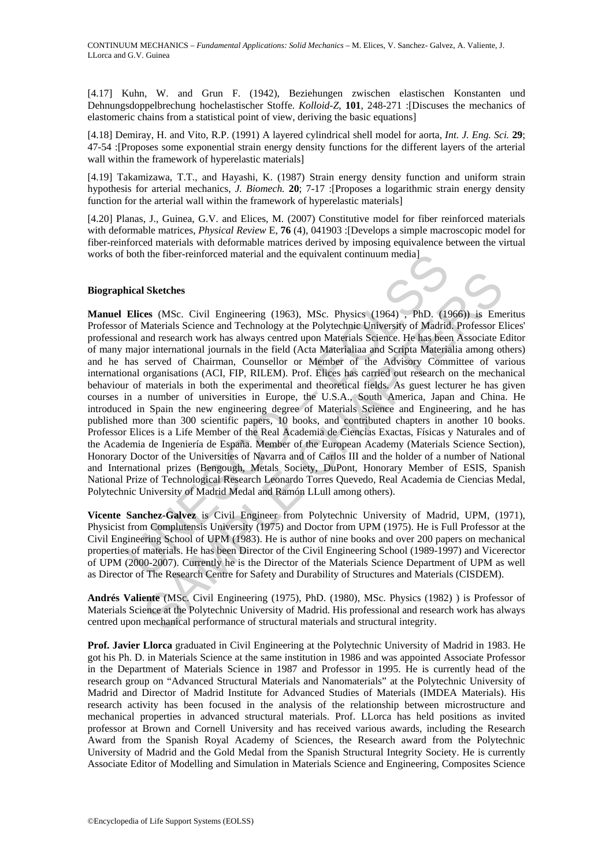[4.17] Kuhn, W. and Grun F. (1942), Beziehungen zwischen elastischen Konstanten und Dehnungsdoppelbrechung hochelastischer Stoffe. *Kolloid-Z*, **101**, 248-271 :[Discuses the mechanics of elastomeric chains from a statistical point of view, deriving the basic equations]

[4.18] Demiray, H. and Vito, R.P. (1991) A layered cylindrical shell model for aorta, *Int. J. Eng. Sci.* **29**; 47-54 :[Proposes some exponential strain energy density functions for the different layers of the arterial wall within the framework of hyperelastic materials]

[4.19] Takamizawa, T.T., and Hayashi, K. (1987) Strain energy density function and uniform strain hypothesis for arterial mechanics, *J. Biomech.* **20**; 7-17 :[Proposes a logarithmic strain energy density function for the arterial wall within the framework of hyperelastic materials]

[4.20] Planas, J., Guinea, G.V. and Elices, M. (2007) Constitutive model for fiber reinforced materials with deformable matrices, *Physical Review* E, **76** (4), 041903 : [Develops a simple macroscopic model for fiber-reinforced materials with deformable matrices derived by imposing equivalence between the virtual works of both the fiber-reinforced material and the equivalent continuum media]

#### **Biographical Sketches**

both the fiber-reinforced material and the equivalent continuum media<br>
ical Sketches<br>
ical Sketches<br>
ical Sketches<br>
ical Sketches<br>
ical Sketches<br>
ical Science and Technology at the Polytechnic University of Madrid<br>
major i **I** Sketches<br>
es (MSc. Civil Engineering (1963), MSc. Physics (1964) , PhD. (1966)) is Em<br>
Materials Science and Technology at the Polytechnic University of Madrid Professor E<br>
and research work has always centred upon Mat **Manuel Elices** (MSc. Civil Engineering (1963), MSc. Physics (1964) , PhD. (1966)) is Emeritus Professor of Materials Science and Technology at the Polytechnic University of Madrid. Professor Elices' professional and research work has always centred upon Materials Science. He has been Associate Editor of many major international journals in the field (Acta Materialiaa and Scripta Materialia among others) and he has served of Chairman, Counsellor or Member of the Advisory Committee of various international organisations (ACI, FIP, RILEM). Prof. Elices has carried out research on the mechanical behaviour of materials in both the experimental and theoretical fields. As guest lecturer he has given courses in a number of universities in Europe, the U.S.A., South America, Japan and China. He introduced in Spain the new engineering degree of Materials Science and Engineering, and he has published more than 300 scientific papers, 10 books, and contributed chapters in another 10 books. Professor Elices is a Life Member of the Real Academia de Ciencias Exactas, Físicas y Naturales and of the Academia de Ingeniería de España. Member of the European Academy (Materials Science Section), Honorary Doctor of the Universities of Navarra and of Carlos III and the holder of a number of National and International prizes (Bengough, Metals Society, DuPont, Honorary Member of ESIS, Spanish National Prize of Technological Research Leonardo Torres Quevedo, Real Academia de Ciencias Medal, Polytechnic University of Madrid Medal and Ramón LLull among others).

**Vicente Sanchez-Galvez** is Civil Engineer from Polytechnic University of Madrid, UPM, (1971), Physicist from Complutensis University (1975) and Doctor from UPM (1975). He is Full Professor at the Civil Engineering School of UPM (1983). He is author of nine books and over 200 papers on mechanical properties of materials. He has been Director of the Civil Engineering School (1989-1997) and Vicerector of UPM (2000-2007). Currently he is the Director of the Materials Science Department of UPM as well as Director of The Research Centre for Safety and Durability of Structures and Materials (CISDEM).

**Andrés Valiente** (MSc. Civil Engineering (1975), PhD. (1980), MSc. Physics (1982) ) is Professor of Materials Science at the Polytechnic University of Madrid. His professional and research work has always centred upon mechanical performance of structural materials and structural integrity.

**Prof. Javier Llorca** graduated in Civil Engineering at the Polytechnic University of Madrid in 1983. He got his Ph. D. in Materials Science at the same institution in 1986 and was appointed Associate Professor in the Department of Materials Science in 1987 and Professor in 1995. He is currently head of the research group on "Advanced Structural Materials and Nanomaterials" at the Polytechnic University of Madrid and Director of Madrid Institute for Advanced Studies of Materials (IMDEA Materials). His research activity has been focused in the analysis of the relationship between microstructure and mechanical properties in advanced structural materials. Prof. LLorca has held positions as invited professor at Brown and Cornell University and has received various awards, including the Research Award from the Spanish Royal Academy of Sciences, the Research award from the Polytechnic University of Madrid and the Gold Medal from the Spanish Structural Integrity Society. He is currently Associate Editor of Modelling and Simulation in Materials Science and Engineering, Composites Science